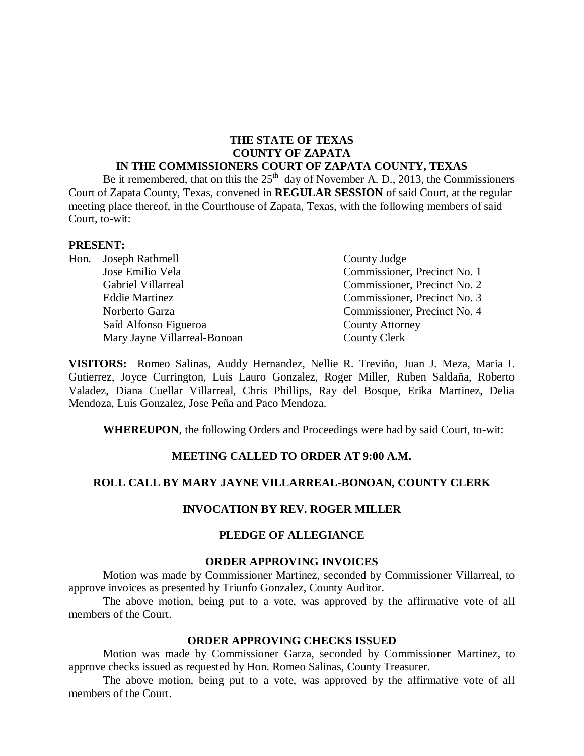#### **THE STATE OF TEXAS COUNTY OF ZAPATA IN THE COMMISSIONERS COURT OF ZAPATA COUNTY, TEXAS**

Be it remembered, that on this the  $25<sup>th</sup>$  day of November A. D., 2013, the Commissioners Court of Zapata County, Texas, convened in **REGULAR SESSION** of said Court, at the regular meeting place thereof, in the Courthouse of Zapata, Texas, with the following members of said Court, to-wit:

#### **PRESENT:**

|  | Hon. Joseph Rathmell         | County Judge                 |
|--|------------------------------|------------------------------|
|  | Jose Emilio Vela             | Commissioner, Precinct No. 1 |
|  | Gabriel Villarreal           | Commissioner, Precinct No. 2 |
|  | <b>Eddie Martinez</b>        | Commissioner, Precinct No. 3 |
|  | Norberto Garza               | Commissioner, Precinct No. 4 |
|  | Saíd Alfonso Figueroa        | <b>County Attorney</b>       |
|  | Mary Jayne Villarreal-Bonoan | County Clerk                 |

**VISITORS:** Romeo Salinas, Auddy Hernandez, Nellie R. Treviño, Juan J. Meza, Maria I. Gutierrez, Joyce Currington, Luis Lauro Gonzalez, Roger Miller, Ruben Saldaña, Roberto Valadez, Diana Cuellar Villarreal, Chris Phillips, Ray del Bosque, Erika Martinez, Delia Mendoza, Luis Gonzalez, Jose Peña and Paco Mendoza.

**WHEREUPON**, the following Orders and Proceedings were had by said Court, to-wit:

### **MEETING CALLED TO ORDER AT 9:00 A.M.**

### **ROLL CALL BY MARY JAYNE VILLARREAL-BONOAN, COUNTY CLERK**

#### **INVOCATION BY REV. ROGER MILLER**

### **PLEDGE OF ALLEGIANCE**

#### **ORDER APPROVING INVOICES**

Motion was made by Commissioner Martinez, seconded by Commissioner Villarreal, to approve invoices as presented by Triunfo Gonzalez, County Auditor.

The above motion, being put to a vote, was approved by the affirmative vote of all members of the Court.

#### **ORDER APPROVING CHECKS ISSUED**

Motion was made by Commissioner Garza, seconded by Commissioner Martinez, to approve checks issued as requested by Hon. Romeo Salinas, County Treasurer.

The above motion, being put to a vote, was approved by the affirmative vote of all members of the Court.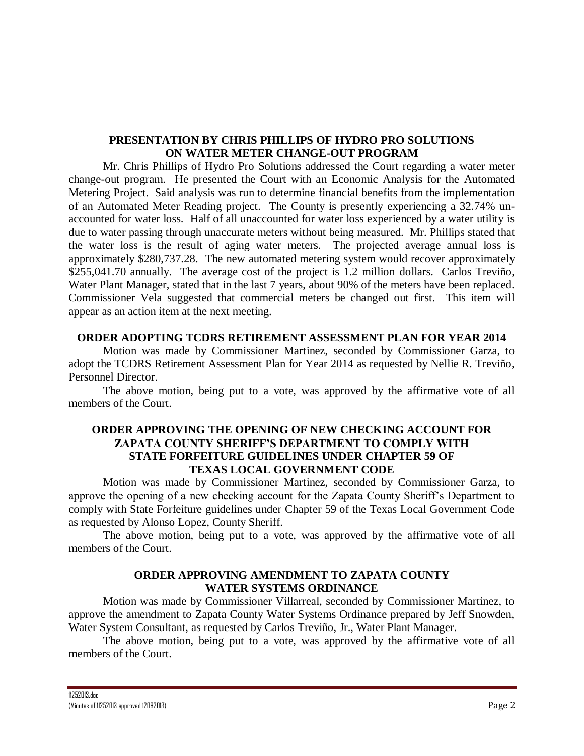## **PRESENTATION BY CHRIS PHILLIPS OF HYDRO PRO SOLUTIONS ON WATER METER CHANGE-OUT PROGRAM**

Mr. Chris Phillips of Hydro Pro Solutions addressed the Court regarding a water meter change-out program. He presented the Court with an Economic Analysis for the Automated Metering Project. Said analysis was run to determine financial benefits from the implementation of an Automated Meter Reading project. The County is presently experiencing a 32.74% unaccounted for water loss. Half of all unaccounted for water loss experienced by a water utility is due to water passing through unaccurate meters without being measured. Mr. Phillips stated that the water loss is the result of aging water meters. The projected average annual loss is approximately \$280,737.28. The new automated metering system would recover approximately \$255,041.70 annually. The average cost of the project is 1.2 million dollars. Carlos Treviño, Water Plant Manager, stated that in the last 7 years, about 90% of the meters have been replaced. Commissioner Vela suggested that commercial meters be changed out first. This item will appear as an action item at the next meeting.

### **ORDER ADOPTING TCDRS RETIREMENT ASSESSMENT PLAN FOR YEAR 2014**

Motion was made by Commissioner Martinez, seconded by Commissioner Garza, to adopt the TCDRS Retirement Assessment Plan for Year 2014 as requested by Nellie R. Treviño, Personnel Director.

The above motion, being put to a vote, was approved by the affirmative vote of all members of the Court.

### **ORDER APPROVING THE OPENING OF NEW CHECKING ACCOUNT FOR ZAPATA COUNTY SHERIFF'S DEPARTMENT TO COMPLY WITH STATE FORFEITURE GUIDELINES UNDER CHAPTER 59 OF TEXAS LOCAL GOVERNMENT CODE**

Motion was made by Commissioner Martinez, seconded by Commissioner Garza, to approve the opening of a new checking account for the Zapata County Sheriff's Department to comply with State Forfeiture guidelines under Chapter 59 of the Texas Local Government Code as requested by Alonso Lopez, County Sheriff.

The above motion, being put to a vote, was approved by the affirmative vote of all members of the Court.

### **ORDER APPROVING AMENDMENT TO ZAPATA COUNTY WATER SYSTEMS ORDINANCE**

Motion was made by Commissioner Villarreal, seconded by Commissioner Martinez, to approve the amendment to Zapata County Water Systems Ordinance prepared by Jeff Snowden, Water System Consultant, as requested by Carlos Treviño, Jr., Water Plant Manager.

The above motion, being put to a vote, was approved by the affirmative vote of all members of the Court.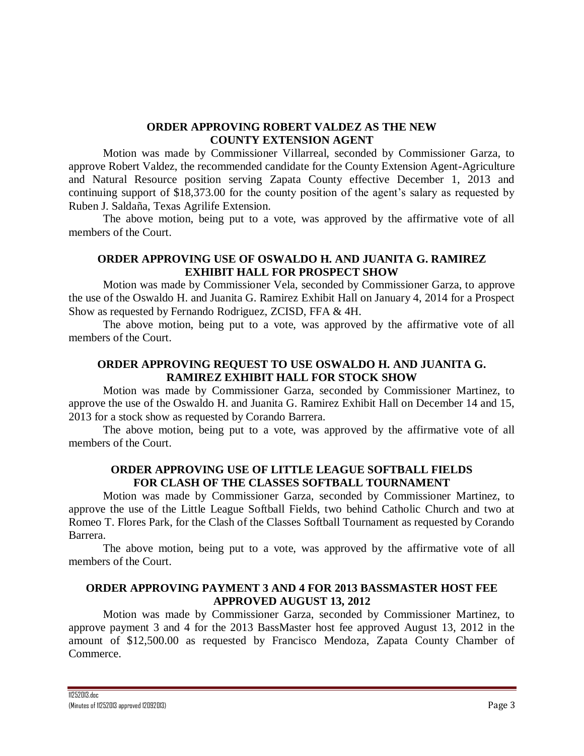## **ORDER APPROVING ROBERT VALDEZ AS THE NEW COUNTY EXTENSION AGENT**

Motion was made by Commissioner Villarreal, seconded by Commissioner Garza, to approve Robert Valdez, the recommended candidate for the County Extension Agent-Agriculture and Natural Resource position serving Zapata County effective December 1, 2013 and continuing support of \$18,373.00 for the county position of the agent's salary as requested by Ruben J. Saldaña, Texas Agrilife Extension.

The above motion, being put to a vote, was approved by the affirmative vote of all members of the Court.

## **ORDER APPROVING USE OF OSWALDO H. AND JUANITA G. RAMIREZ EXHIBIT HALL FOR PROSPECT SHOW**

Motion was made by Commissioner Vela, seconded by Commissioner Garza, to approve the use of the Oswaldo H. and Juanita G. Ramirez Exhibit Hall on January 4, 2014 for a Prospect Show as requested by Fernando Rodriguez, ZCISD, FFA & 4H.

The above motion, being put to a vote, was approved by the affirmative vote of all members of the Court.

# **ORDER APPROVING REQUEST TO USE OSWALDO H. AND JUANITA G. RAMIREZ EXHIBIT HALL FOR STOCK SHOW**

Motion was made by Commissioner Garza, seconded by Commissioner Martinez, to approve the use of the Oswaldo H. and Juanita G. Ramirez Exhibit Hall on December 14 and 15, 2013 for a stock show as requested by Corando Barrera.

The above motion, being put to a vote, was approved by the affirmative vote of all members of the Court.

# **ORDER APPROVING USE OF LITTLE LEAGUE SOFTBALL FIELDS FOR CLASH OF THE CLASSES SOFTBALL TOURNAMENT**

Motion was made by Commissioner Garza, seconded by Commissioner Martinez, to approve the use of the Little League Softball Fields, two behind Catholic Church and two at Romeo T. Flores Park, for the Clash of the Classes Softball Tournament as requested by Corando Barrera.

The above motion, being put to a vote, was approved by the affirmative vote of all members of the Court.

## **ORDER APPROVING PAYMENT 3 AND 4 FOR 2013 BASSMASTER HOST FEE APPROVED AUGUST 13, 2012**

Motion was made by Commissioner Garza, seconded by Commissioner Martinez, to approve payment 3 and 4 for the 2013 BassMaster host fee approved August 13, 2012 in the amount of \$12,500.00 as requested by Francisco Mendoza, Zapata County Chamber of Commerce.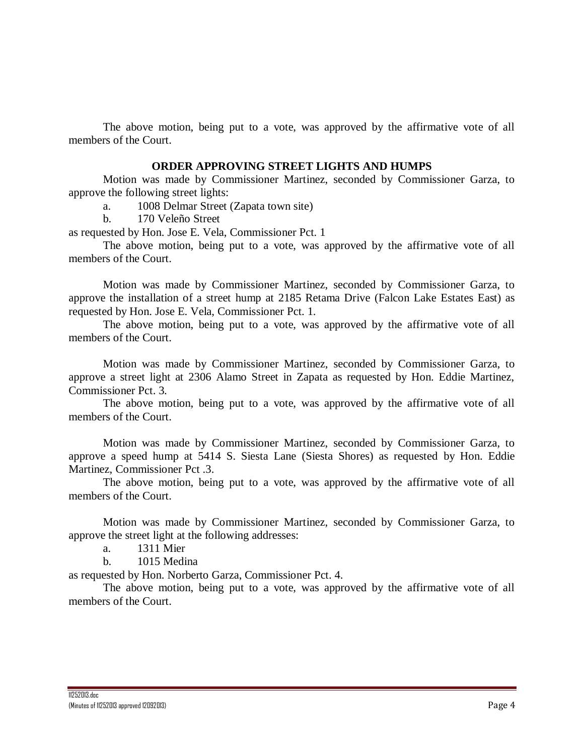The above motion, being put to a vote, was approved by the affirmative vote of all members of the Court.

#### **ORDER APPROVING STREET LIGHTS AND HUMPS**

Motion was made by Commissioner Martinez, seconded by Commissioner Garza, to approve the following street lights:

a. 1008 Delmar Street (Zapata town site)

b. 170 Veleño Street

as requested by Hon. Jose E. Vela, Commissioner Pct. 1

The above motion, being put to a vote, was approved by the affirmative vote of all members of the Court.

Motion was made by Commissioner Martinez, seconded by Commissioner Garza, to approve the installation of a street hump at 2185 Retama Drive (Falcon Lake Estates East) as requested by Hon. Jose E. Vela, Commissioner Pct. 1.

The above motion, being put to a vote, was approved by the affirmative vote of all members of the Court.

Motion was made by Commissioner Martinez, seconded by Commissioner Garza, to approve a street light at 2306 Alamo Street in Zapata as requested by Hon. Eddie Martinez, Commissioner Pct. 3.

The above motion, being put to a vote, was approved by the affirmative vote of all members of the Court.

Motion was made by Commissioner Martinez, seconded by Commissioner Garza, to approve a speed hump at 5414 S. Siesta Lane (Siesta Shores) as requested by Hon. Eddie Martinez, Commissioner Pct .3.

The above motion, being put to a vote, was approved by the affirmative vote of all members of the Court.

Motion was made by Commissioner Martinez, seconded by Commissioner Garza, to approve the street light at the following addresses:

a. 1311 Mier

b. 1015 Medina

as requested by Hon. Norberto Garza, Commissioner Pct. 4.

The above motion, being put to a vote, was approved by the affirmative vote of all members of the Court.